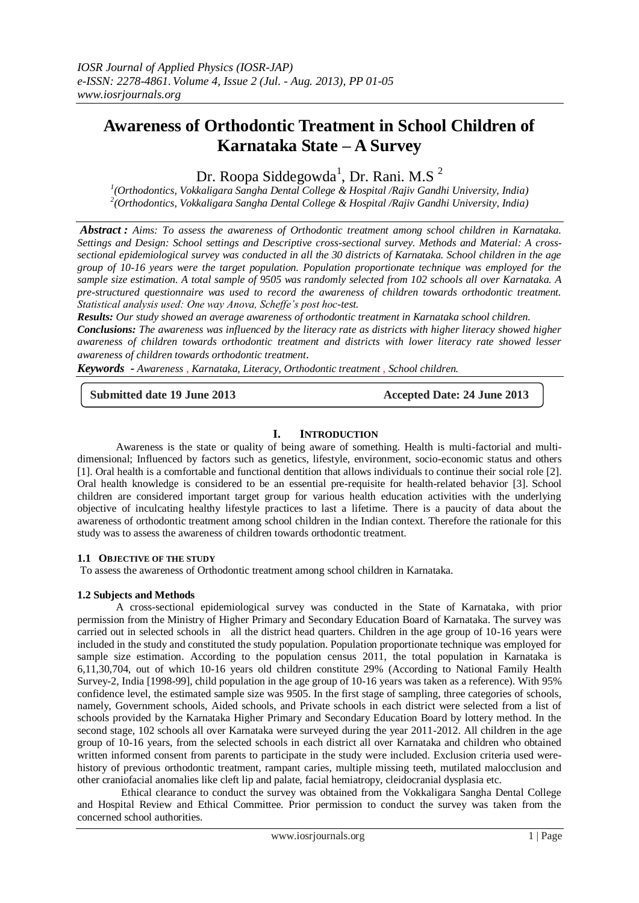# **Awareness of Orthodontic Treatment in School Children of Karnataka State – A Survey**

Dr. Roopa Siddegowda<sup>1</sup>, Dr. Rani. M.S<sup>2</sup>

*1 (Orthodontics, Vokkaligara Sangha Dental College & Hospital /Rajiv Gandhi University, India) 2 (Orthodontics, Vokkaligara Sangha Dental College & Hospital /Rajiv Gandhi University, India)*

*Abstract : Aims: To assess the awareness of Orthodontic treatment among school children in Karnataka. Settings and Design: School settings and Descriptive cross-sectional survey. Methods and Material: A crosssectional epidemiological survey was conducted in all the 30 districts of Karnataka. School children in the age group of 10-16 years were the target population. Population proportionate technique was employed for the sample size estimation. A total sample of 9505 was randomly selected from 102 schools all over Karnataka. A pre-structured questionnaire was used to record the awareness of children towards orthodontic treatment. Statistical analysis used: One way Anova, Scheffe's post hoc-test.*

*Results: Our study showed an average awareness of orthodontic treatment in Karnataka school children. Conclusions: The awareness was influenced by the literacy rate as districts with higher literacy showed higher awareness of children towards orthodontic treatment and districts with lower literacy rate showed lesser awareness of children towards orthodontic treatment*.

*Keywords - Awareness , Karnataka, Literacy, Orthodontic treatment , School children.*

**Submitted date 19 June 2013 Accepted Date: 24 June 2013**

# **I. INTRODUCTION**

Awareness is the state or quality of being aware of something. Health is multi-factorial and multidimensional; Influenced by factors such as genetics, lifestyle, environment, socio-economic status and others [1]. Oral health is a comfortable and functional dentition that allows individuals to continue their social role [2]. Oral health knowledge is considered to be an essential pre-requisite for health-related behavior [3]. School children are considered important target group for various health education activities with the underlying objective of inculcating healthy lifestyle practices to last a lifetime. There is a paucity of data about the awareness of orthodontic treatment among school children in the Indian context. Therefore the rationale for this study was to assess the awareness of children towards orthodontic treatment.

# **1.1 OBJECTIVE OF THE STUDY**

To assess the awareness of Orthodontic treatment among school children in Karnataka.

## **1.2 Subjects and Methods**

A cross-sectional epidemiological survey was conducted in the State of Karnataka, with prior permission from the Ministry of Higher Primary and Secondary Education Board of Karnataka. The survey was carried out in selected schools in all the district head quarters. Children in the age group of 10-16 years were included in the study and constituted the study population. Population proportionate technique was employed for sample size estimation. According to the population census 2011, the total population in Karnataka is 6,11,30,704, out of which 10-16 years old children constitute 29% (According to National Family Health Survey-2, India [1998-99], child population in the age group of 10-16 years was taken as a reference). With 95% confidence level, the estimated sample size was 9505. In the first stage of sampling, three categories of schools, namely, Government schools, Aided schools, and Private schools in each district were selected from a list of schools provided by the Karnataka Higher Primary and Secondary Education Board by lottery method. In the second stage, 102 schools all over Karnataka were surveyed during the year 2011-2012. All children in the age group of 10-16 years, from the selected schools in each district all over Karnataka and children who obtained written informed consent from parents to participate in the study were included. Exclusion criteria used werehistory of previous orthodontic treatment, rampant caries, multiple missing teeth, mutilated malocclusion and other craniofacial anomalies like cleft lip and palate, facial hemiatropy, cleidocranial dysplasia etc.

 Ethical clearance to conduct the survey was obtained from the Vokkaligara Sangha Dental College and Hospital Review and Ethical Committee. Prior permission to conduct the survey was taken from the concerned school authorities.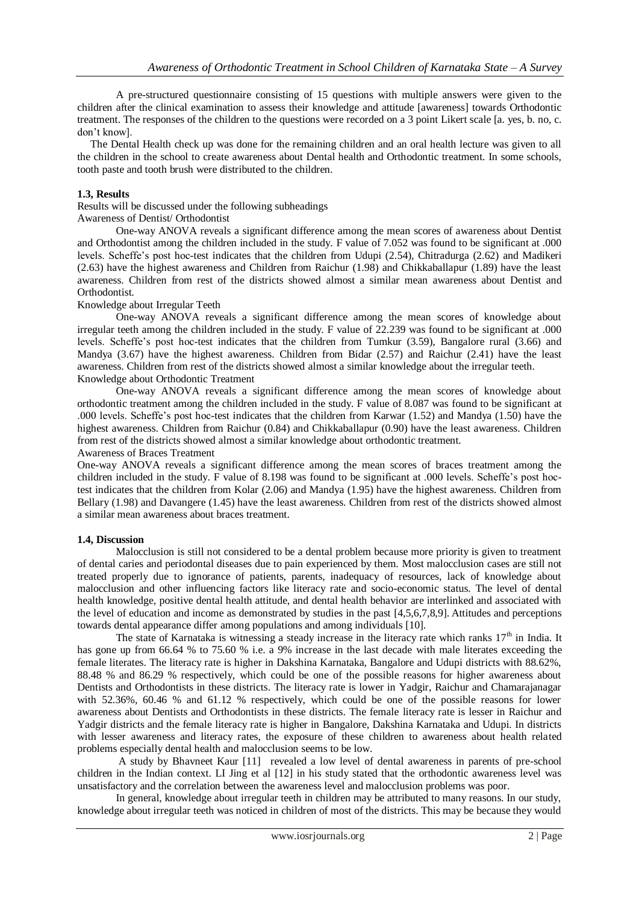A pre-structured questionnaire consisting of 15 questions with multiple answers were given to the children after the clinical examination to assess their knowledge and attitude [awareness] towards Orthodontic treatment. The responses of the children to the questions were recorded on a 3 point Likert scale [a. yes, b. no, c. don't know].

 The Dental Health check up was done for the remaining children and an oral health lecture was given to all the children in the school to create awareness about Dental health and Orthodontic treatment. In some schools, tooth paste and tooth brush were distributed to the children.

# **1.3, Results**

# Results will be discussed under the following subheadings

# Awareness of Dentist/ Orthodontist

One-way ANOVA reveals a significant difference among the mean scores of awareness about Dentist and Orthodontist among the children included in the study. F value of 7.052 was found to be significant at .000 levels. Scheffe's post hoc-test indicates that the children from Udupi (2.54), Chitradurga (2.62) and Madikeri (2.63) have the highest awareness and Children from Raichur (1.98) and Chikkaballapur (1.89) have the least awareness. Children from rest of the districts showed almost a similar mean awareness about Dentist and Orthodontist.

# Knowledge about Irregular Teeth

One-way ANOVA reveals a significant difference among the mean scores of knowledge about irregular teeth among the children included in the study. F value of 22.239 was found to be significant at .000 levels. Scheffe's post hoc-test indicates that the children from Tumkur (3.59), Bangalore rural (3.66) and Mandya (3.67) have the highest awareness. Children from Bidar (2.57) and Raichur (2.41) have the least awareness. Children from rest of the districts showed almost a similar knowledge about the irregular teeth. Knowledge about Orthodontic Treatment

One-way ANOVA reveals a significant difference among the mean scores of knowledge about orthodontic treatment among the children included in the study. F value of 8.087 was found to be significant at .000 levels. Scheffe's post hoc-test indicates that the children from Karwar (1.52) and Mandya (1.50) have the highest awareness. Children from Raichur (0.84) and Chikkaballapur (0.90) have the least awareness. Children from rest of the districts showed almost a similar knowledge about orthodontic treatment.

## Awareness of Braces Treatment

One-way ANOVA reveals a significant difference among the mean scores of braces treatment among the children included in the study. F value of 8.198 was found to be significant at .000 levels. Scheffe's post hoctest indicates that the children from Kolar (2.06) and Mandya (1.95) have the highest awareness. Children from Bellary (1.98) and Davangere (1.45) have the least awareness. Children from rest of the districts showed almost a similar mean awareness about braces treatment.

# **1.4, Discussion**

Malocclusion is still not considered to be a dental problem because more priority is given to treatment of dental caries and periodontal diseases due to pain experienced by them. Most malocclusion cases are still not treated properly due to ignorance of patients, parents, inadequacy of resources, lack of knowledge about malocclusion and other influencing factors like literacy rate and socio-economic status. The level of dental health knowledge, positive dental health attitude, and dental health behavior are interlinked and associated with the level of education and income as demonstrated by studies in the past [4,5,6,7,8,9]. Attitudes and perceptions towards dental appearance differ among populations and among individuals [10].

The state of Karnataka is witnessing a steady increase in the literacy rate which ranks  $17<sup>th</sup>$  in India. It has gone up from 66.64 % to 75.60 % i.e. a 9% increase in the last decade with male literates exceeding the female literates. The literacy rate is higher in Dakshina Karnataka, Bangalore and Udupi districts with 88.62%, 88.48 % and 86.29 % respectively, which could be one of the possible reasons for higher awareness about Dentists and Orthodontists in these districts. The literacy rate is lower in Yadgir, Raichur and Chamarajanagar with 52.36%, 60.46 % and 61.12 % respectively, which could be one of the possible reasons for lower awareness about Dentists and Orthodontists in these districts. The female literacy rate is lesser in Raichur and Yadgir districts and the female literacy rate is higher in Bangalore, Dakshina Karnataka and Udupi. In districts with lesser awareness and literacy rates, the exposure of these children to awareness about health related problems especially dental health and malocclusion seems to be low.

 A study by Bhavneet Kaur [11] revealed a low level of dental awareness in parents of pre-school children in the Indian context. LI Jing et al [12] in his study stated that the orthodontic awareness level was unsatisfactory and the correlation between the awareness level and malocclusion problems was poor.

 In general, knowledge about irregular teeth in children may be attributed to many reasons. In our study, knowledge about irregular teeth was noticed in children of most of the districts. This may be because they would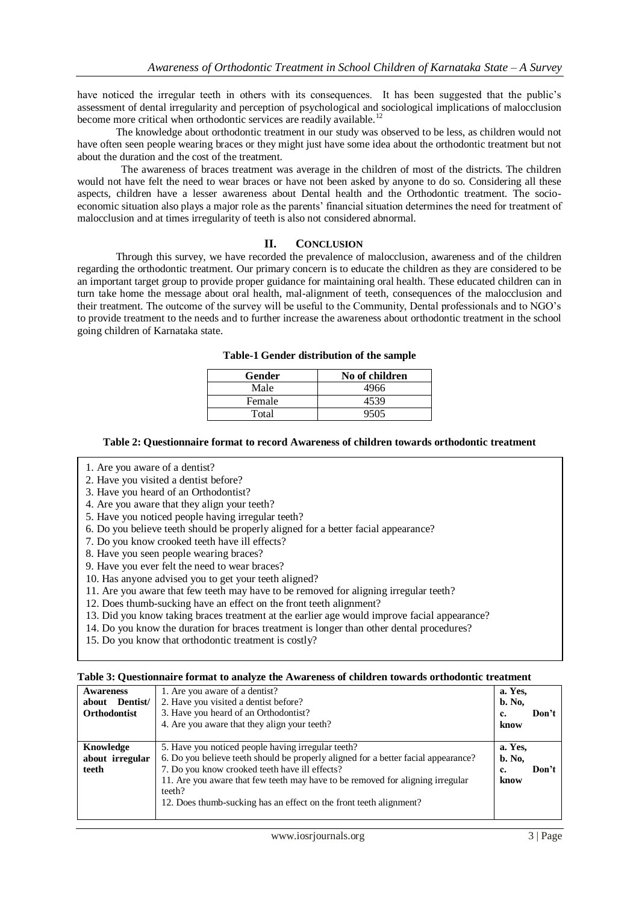have noticed the irregular teeth in others with its consequences. It has been suggested that the public's assessment of dental irregularity and perception of psychological and sociological implications of malocclusion become more critical when orthodontic services are readily available.<sup>12</sup>

 The knowledge about orthodontic treatment in our study was observed to be less, as children would not have often seen people wearing braces or they might just have some idea about the orthodontic treatment but not about the duration and the cost of the treatment.

 The awareness of braces treatment was average in the children of most of the districts. The children would not have felt the need to wear braces or have not been asked by anyone to do so. Considering all these aspects, children have a lesser awareness about Dental health and the Orthodontic treatment. The socioeconomic situation also plays a major role as the parents' financial situation determines the need for treatment of malocclusion and at times irregularity of teeth is also not considered abnormal.

# **II. CONCLUSION**

Through this survey, we have recorded the prevalence of malocclusion, awareness and of the children regarding the orthodontic treatment. Our primary concern is to educate the children as they are considered to be an important target group to provide proper guidance for maintaining oral health. These educated children can in turn take home the message about oral health, mal-alignment of teeth, consequences of the malocclusion and their treatment. The outcome of the survey will be useful to the Community, Dental professionals and to NGO's to provide treatment to the needs and to further increase the awareness about orthodontic treatment in the school going children of Karnataka state.

| Gender | No of children |
|--------|----------------|
| Male   | 4966           |
| Female | 4539           |
| Total  | 9505           |

## **Table-1 Gender distribution of the sample**

## **Table 2: Questionnaire format to record Awareness of children towards orthodontic treatment**

- 1. Are you aware of a dentist?
- 2. Have you visited a dentist before?
- 3. Have you heard of an Orthodontist?
- 4. Are you aware that they align your teeth?
- 5. Have you noticed people having irregular teeth?
- 6. Do you believe teeth should be properly aligned for a better facial appearance?
- 7. Do you know crooked teeth have ill effects?
- 8. Have you seen people wearing braces?
- 9. Have you ever felt the need to wear braces?
- 10. Has anyone advised you to get your teeth aligned?
- 11. Are you aware that few teeth may have to be removed for aligning irregular teeth?
- 12. Does thumb-sucking have an effect on the front teeth alignment?
- 13. Did you know taking braces treatment at the earlier age would improve facial appearance?
- 14. Do you know the duration for braces treatment is longer than other dental procedures?
- 15. Do you know that orthodontic treatment is costly?

#### **Table 3: Questionnaire format to analyze the Awareness of children towards orthodontic treatment**

| <b>Awareness</b>    | 1. Are you aware of a dentist?                                                     |               |
|---------------------|------------------------------------------------------------------------------------|---------------|
| Dentist/<br>about   | 2. Have you visited a dentist before?                                              | <b>b.</b> No. |
| <b>Orthodontist</b> | 3. Have you heard of an Orthodontist?                                              | Don't<br>c.   |
|                     | 4. Are you aware that they align your teeth?                                       | know          |
|                     |                                                                                    |               |
| Knowledge           | 5. Have you noticed people having irregular teeth?                                 | a. Yes.       |
| about irregular     | 6. Do you believe teeth should be properly aligned for a better facial appearance? | <b>b.</b> No. |
| teeth               | 7. Do you know crooked teeth have ill effects?                                     | Don't<br>c.   |
|                     | 11. Are you aware that few teeth may have to be removed for aligning irregular     | know          |
|                     | teeth?                                                                             |               |
|                     | 12. Does thumb-sucking has an effect on the front teeth alignment?                 |               |
|                     |                                                                                    |               |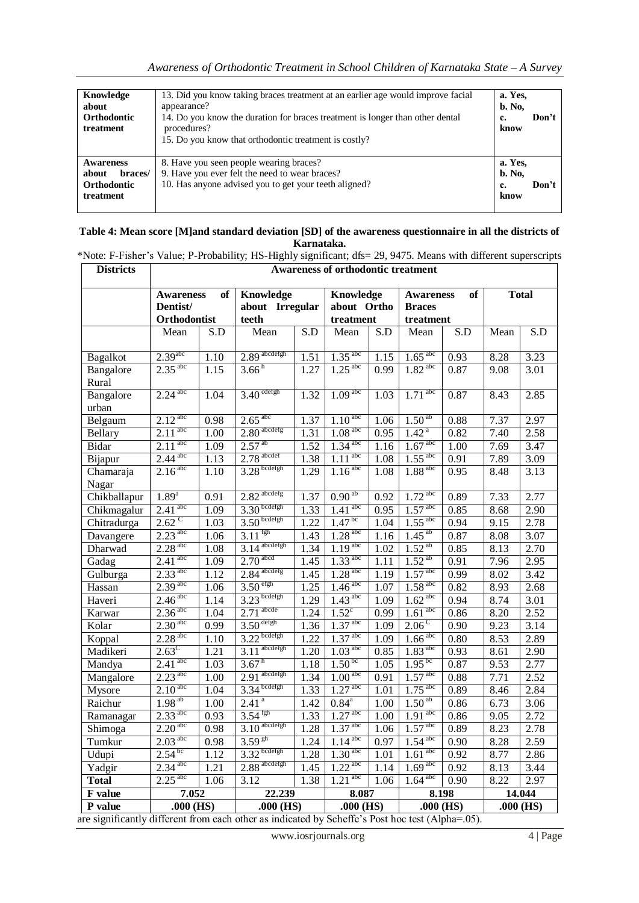| Knowledge<br>about<br><b>Orthodontic</b><br>treatment                   | 13. Did you know taking braces treatment at an earlier age would improve facial<br>appearance?<br>14. Do you know the duration for braces treatment is longer than other dental<br>procedures?<br>15. Do you know that orthodontic treatment is costly? | a. Yes.<br><b>b.</b> No.<br>c.<br>know | Don't |
|-------------------------------------------------------------------------|---------------------------------------------------------------------------------------------------------------------------------------------------------------------------------------------------------------------------------------------------------|----------------------------------------|-------|
| <b>Awareness</b><br>braces/<br>about<br><b>Orthodontic</b><br>treatment | 8. Have you seen people wearing braces?<br>9. Have you ever felt the need to wear braces?<br>10. Has anyone advised you to get your teeth aligned?                                                                                                      | a. Yes.<br><b>b.</b> No.<br>c.<br>know | Don't |

#### **Table 4: Mean score [M]and standard deviation [SD] of the awareness questionnaire in all the districts of Karnataka. Aarnataka.**<br>F-Fisher's Value: P-Probability: HS-Highly significant: dfs= 29, 9475. Means with different superscripts.\*\*

| <b>Districts</b>   | *Note: F-Fisher's Value; P-Probability; HS-Highly significant; dfs= 29, 9475. Means with different superscript<br>Awareness of orthodontic treatment |                   |                                              |      |                                       |       |                                                      |       |              |                   |  |
|--------------------|------------------------------------------------------------------------------------------------------------------------------------------------------|-------------------|----------------------------------------------|------|---------------------------------------|-------|------------------------------------------------------|-------|--------------|-------------------|--|
|                    | of<br><b>Awareness</b><br>Dentist/<br>Orthodontist                                                                                                   |                   | <b>Knowledge</b><br>about Irregular<br>teeth |      | Knowledge<br>about Ortho<br>treatment |       | of<br><b>Awareness</b><br><b>Braces</b><br>treatment |       | <b>Total</b> |                   |  |
|                    | Mean                                                                                                                                                 | S.D               | Mean                                         | S.D  | Mean                                  | S.D   | Mean                                                 | S.D   | Mean         | S.D               |  |
| Bagalkot           | $2.39$ <sup>abc</sup>                                                                                                                                | 1.10              | $2.89$ abcdefgh                              | 1.51 | $1.35$ <sup>abc</sup>                 | 1.15  | $1.65$ <sup>abc</sup>                                | 0.93  | 8.28         | 3.23              |  |
| Bangalore<br>Rural | $2.35$ <sup>abc</sup>                                                                                                                                | 1.15              | 3.66 <sup>h</sup>                            | 1.27 | $1.25$ <sup>abc</sup>                 | 0.99  | $1.82$ <sup>abc</sup>                                | 0.87  | 9.08         | 3.01              |  |
| Bangalore<br>urban | $2.24$ <sup>abc</sup>                                                                                                                                | 1.04              | $3.40$ cdefgh                                | 1.32 | $1.09$ <sup>abc</sup>                 | 1.03  | $1.71$ <sup>abc</sup>                                | 0.87  | 8.43         | 2.85              |  |
| Belgaum            | $2.12$ <sup>abc</sup>                                                                                                                                | 0.98              | $2.65$ <sup>abc</sup>                        | 1.37 | $1.10$ <sup>abc</sup>                 | 1.06  | 1.50 <sup>ab</sup>                                   | 0.88  | 7.37         | 2.97              |  |
| Bellary            | $2.11$ <sup>abc</sup>                                                                                                                                | 1.00              | $2.80$ <sup>abcdefg</sup>                    | 1.31 | $1.08$ <sup>abc</sup>                 | 0.95  | 1.42 <sup>a</sup>                                    | 0.82  | 7.40         | 2.58              |  |
| Bidar              | $2.11$ <sup>abc</sup>                                                                                                                                | 1.09              | $2.57^{ab}$                                  | 1.52 | $1.34$ <sup>abc</sup>                 | 1.16  | $1.67$ <sup>abc</sup>                                | 1.00  | 7.69         | 3.47              |  |
| Bijapur            | $2.44$ <sup>abc</sup>                                                                                                                                | 1.13              | $2.78$ <sup>abcdef</sup>                     | 1.38 | $1.\overline{11^{abc}}$               | 1.08  | $1.55$ <sup>abc</sup>                                | 0.91  | 7.89         | 3.09              |  |
| Chamaraja<br>Nagar | $2.16$ <sup>abc</sup>                                                                                                                                | $\overline{1.10}$ | $3.28$ bcdefgh                               | 1.29 | $1.\overline{16^{abc}}$               | 1.08  | $1.88$ <sup>abc</sup>                                | 0.95  | 8.48         | 3.13              |  |
| Chikballapur       | $1.89^{a}$                                                                                                                                           | 0.91              | $2.82$ <sup>abcdefg</sup>                    | 1.37 | $0.90^{\overline{ab}}$                | 0.92  | $1.72$ <sup>abc</sup>                                | 0.89  | 7.33         | 2.77              |  |
| Chikmagalur        | $2.41$ <sup>abc</sup>                                                                                                                                | 1.09              | $3.30$ bcdefgh                               | 1.33 | $1.41$ <sup>abc</sup>                 | 0.95  | $1.57$ <sup>abc</sup>                                | 0.85  | 8.68         | 2.90              |  |
| Chitradurga        | $2.62^{\circ}$                                                                                                                                       | 1.03              | $3.50$ bcdefgh                               | 1.22 | $1.47^{bc}$                           | 1.04  | $1.55$ <sup>abc</sup>                                | 0.94  | 9.15         | 2.78              |  |
| Davangere          | $2.23$ <sup>abc</sup>                                                                                                                                | 1.06              | $3.11$ <sup>fgh</sup>                        | 1.43 | $1.28$ <sup>abc</sup>                 | 1.16  | $1.45^{ab}$                                          | 0.87  | 8.08         | 3.07              |  |
| Dharwad            | $2.28$ <sup>abc</sup>                                                                                                                                | 1.08              | $3.14$ <sup>abcdefgh</sup>                   | 1.34 | $1.19$ <sup>abc</sup>                 | 1.02  | $1.52^{ab}$                                          | 0.85  | 8.13         | 2.70              |  |
| Gadag              | $2.41$ <sup>abc</sup>                                                                                                                                | 1.09              | $2.70$ <sup>abcd</sup>                       | 1.45 | $1.33$ <sup>abc</sup>                 | 1.11  | $1.52^{ab}$                                          | 0.91  | 7.96         | 2.95              |  |
| Gulburga           | $2.33$ <sup>abc</sup>                                                                                                                                | 1.12              | $2.84$ <sup>abcdefg</sup>                    | 1.45 | $1.28$ <sup>abc</sup>                 | 1.19  | $1.57$ <sup>abc</sup>                                | 0.99  | 8.02         | 3.42              |  |
| Hassan             | $2.39$ <sup>abc</sup>                                                                                                                                | 1.06              | 3.50 <sup>efgh</sup>                         | 1.25 | $1.46$ <sup>abc</sup>                 | 1.07  | $1.58$ <sup>abc</sup>                                | 0.82  | 8.93         | 2.68              |  |
| Haveri             | $2.46$ <sup>abc</sup>                                                                                                                                | 1.14              | $3.23$ bcdefgh                               | 1.29 | $1.43$ <sup>abc</sup>                 | 1.09  | $1.62$ <sup>abc</sup>                                | 0.94  | 8.74         | 3.01              |  |
| Karwar             | $2.\overline{36}^{abc}$                                                                                                                              | 1.04              | $2.71$ <sup>abcde</sup>                      | 1.24 | $1.52^{\circ}$                        | 0.99  | $1.61$ <sup>abc</sup>                                | 0.86  | 8.20         | $2.\overline{52}$ |  |
| Kolar              | 2.30 <sup>abc</sup>                                                                                                                                  | 0.99              | $3.50$ <sup>defgh</sup>                      | 1.36 | $1.37$ <sup>abc</sup>                 | 1.09  | $2.06^{\circ}$                                       | 0.90  | 9.23         | 3.14              |  |
| Koppal             | $2.28$ <sup>abc</sup>                                                                                                                                | 1.10              | $3.22$ bcdefgh                               | 1.22 | $1.37$ <sup>abc</sup>                 | 1.09  | $1.\overline{66}$ <sup>abc</sup>                     | 0.80  | 8.53         | 2.89              |  |
| Madikeri           | $2.63^{\circ}$                                                                                                                                       | 1.21              | $3.11$ <sup>abcdefgh</sup>                   | 1.20 | $1.03$ <sup>abc</sup>                 | 0.85  | $1.83$ <sup>abc</sup>                                | 0.93  | 8.61         | 2.90              |  |
| Mandya             | $2.41$ <sup>abc</sup>                                                                                                                                | 1.03              | 3.67 <sup>h</sup>                            | 1.18 | $1.50^{bc}$                           | 1.05  | $1.95^{bc}$                                          | 0.87  | 9.53         | 2.77              |  |
| Mangalore          | $2.23$ <sup>abc</sup>                                                                                                                                | 1.00              | $2.91$ abcdefgh                              | 1.34 | 1.00 <sup>abc</sup>                   | 0.91  | $1.57$ <sup>abc</sup>                                | 0.88  | 7.71         | 2.52              |  |
| Mysore             | 2.10 <sup>abc</sup>                                                                                                                                  | 1.04              | $3.34$ bcdefgh                               | 1.33 | $1.27$ <sup>abc</sup>                 | 1.01  | $1.75$ <sup>abc</sup>                                | 0.89  | 8.46         | 2.84              |  |
| Raichur            | $1.98^{ab}$                                                                                                                                          | 1.00              | 2.41 <sup>a</sup>                            | 1.42 | $0.84^{a}$                            | 1.00  | $1.50^{ab}$                                          | 0.86  | 6.73         | 3.06              |  |
| Ramanagar          | $2.33$ <sup>abc</sup>                                                                                                                                | 0.93              | $3.54^{fgh}$                                 | 1.33 | $1.27$ <sup>abc</sup>                 | 1.00  | $1.91$ <sup>abc</sup>                                | 0.86  | 9.05         | 2.72              |  |
| Shimoga            | 2.20 <sup>abc</sup>                                                                                                                                  | 0.98              | $3.10$ abcdefgh                              | 1.28 | $1.\overline{37}^{\text{abc}}$        | 1.06  | $1.57$ <sup>abc</sup>                                | 0.89  | 8.23         | 2.78              |  |
| Tumkur             | $2.03$ <sup>abc</sup>                                                                                                                                | 0.98              | $3.59^{gh}$                                  | 1.24 | $1.14$ <sup>abc</sup>                 | 0.97  | $1.54$ <sup>abc</sup>                                | 0.90  | 8.28         | 2.59              |  |
| Udupi              | $2.54^{bc}$                                                                                                                                          | 1.12              | $3.32$ bcdefgh                               | 1.28 | 1.30 <sup>abc</sup>                   | 1.01  | $1.61$ <sup>abc</sup>                                | 0.92  | 8.77         | 2.86              |  |
| Yadgir             | $2.34$ <sup>abc</sup>                                                                                                                                | 1.21              | $2.88$ <sup>abcdefgh</sup>                   | 1.45 | $1.22$ <sup>abc</sup>                 | 1.14  | $1.69$ <sup>abc</sup>                                | 0.92  | 8.13         | 3.44              |  |
| Total              | $2.25$ <sup>abc</sup>                                                                                                                                | 1.06              | 3.12                                         | 1.38 | $1.21$ <sup>abc</sup>                 | 1.06  | $1.\overline{64}^{abc}$                              | 0.90  | 8.22         | 2.97              |  |
| F value            | 7.052                                                                                                                                                |                   | 22.239                                       |      |                                       | 8.087 |                                                      | 8.198 |              | 14.044            |  |
| P value            | .000(HS)                                                                                                                                             |                   | $.000$ (HS)                                  |      | $.000$ (HS)                           |       | $.000$ (HS)                                          |       | $.000$ (HS)  |                   |  |

are significantly different from each other as indicated by Scheffe's Post hoc test (Alpha=.05).